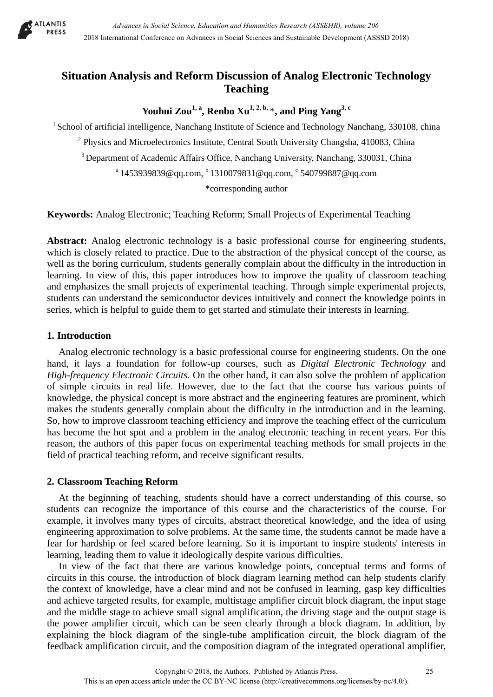

# **Situation Analysis and Reform Discussion of Analog Electronic Technology Teaching**

Youhui Zou<sup>1, a</sup>, Renbo Xu<sup>1, 2, b,</sup>  $*$ , and Ping Yang<sup>3, c</sup>

<sup>1</sup> School of artificial intelligence, Nanchang Institute of Science and Technology Nanchang, 330108, china

<sup>2</sup> Physics and Microelectronics Institute, Central South University Changsha, 410083, China

<sup>3</sup> Department of Academic Affairs Office, Nanchang University, Nanchang, 330031, China

 $a$  1453939839@qq.com,  $b$  1310079831@qq.com,  $c$  540799887@qq.com

\*corresponding author

**Keywords:** Analog Electronic; Teaching Reform; Small Projects of Experimental Teaching

**Abstract:** Analog electronic technology is a basic professional course for engineering students, which is closely related to practice. Due to the abstraction of the physical concept of the course, as well as the boring curriculum, students generally complain about the difficulty in the introduction in learning. In view of this, this paper introduces how to improve the quality of classroom teaching and emphasizes the small projects of experimental teaching. Through simple experimental projects, students can understand the semiconductor devices intuitively and connect the knowledge points in series, which is helpful to guide them to get started and stimulate their interests in learning.

### **1. Introduction**

Analog electronic technology is a basic professional course for engineering students. On the one hand, it lays a foundation for follow-up courses, such as *Digital Electronic Technology* and *High-frequency Electronic Circuits*. On the other hand, it can also solve the problem of application of simple circuits in real life. However, due to the fact that the course has various points of knowledge, the physical concept is more abstract and the engineering features are prominent, which makes the students generally complain about the difficulty in the introduction and in the learning. So, how to improve classroom teaching efficiency and improve the teaching effect of the curriculum has become the hot spot and a problem in the analog electronic teaching in recent years. For this reason, the authors of this paper focus on experimental teaching methods for small projects in the field of practical teaching reform, and receive significant results.

## **2. Classroom Teaching Reform**

At the beginning of teaching, students should have a correct understanding of this course, so students can recognize the importance of this course and the characteristics of the course. For example, it involves many types of circuits, abstract theoretical knowledge, and the idea of using engineering approximation to solve problems. At the same time, the students cannot be made have a fear for hardship or feel scared before learning. So it is important to inspire students' interests in learning, leading them to value it ideologically despite various difficulties.

In view of the fact that there are various knowledge points, conceptual terms and forms of circuits in this course, the introduction of block diagram learning method can help students clarify the context of knowledge, have a clear mind and not be confused in learning, gasp key difficulties and achieve targeted results, for example, multistage amplifier circuit block diagram, the input stage and the middle stage to achieve small signal amplification, the driving stage and the output stage is the power amplifier circuit, which can be seen clearly through a block diagram. In addition, by explaining the block diagram of the single-tube amplification circuit, the block diagram of the feedback amplification circuit, and the composition diagram of the integrated operational amplifier,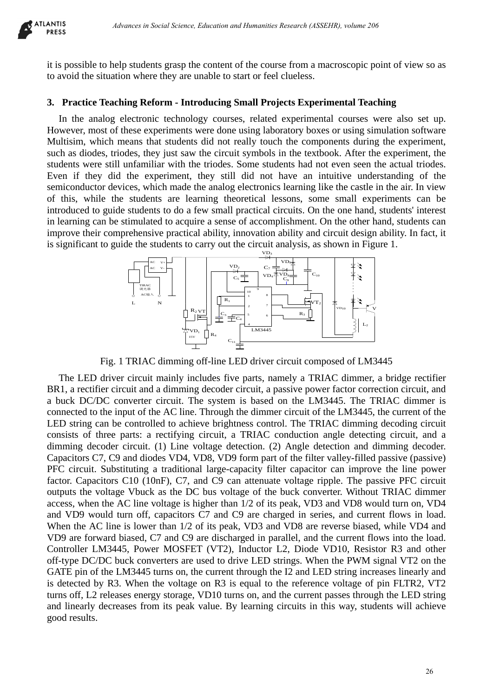

it is possible to help students grasp the content of the course from a macroscopic point of view so as to avoid the situation where they are unable to start or feel clueless.

### **3. Practice Teaching Reform - Introducing Small Projects Experimental Teaching**

In the analog electronic technology courses, related experimental courses were also set up. However, most of these experiments were done using laboratory boxes or using simulation software Multisim, which means that students did not really touch the components during the experiment, such as diodes, triodes, they just saw the circuit symbols in the textbook. After the experiment, the students were still unfamiliar with the triodes. Some students had not even seen the actual triodes. Even if they did the experiment, they still did not have an intuitive understanding of the semiconductor devices, which made the analog electronics learning like the castle in the air. In view of this, while the students are learning theoretical lessons, some small experiments can be introduced to guide students to do a few small practical circuits. On the one hand, students' interest in learning can be stimulated to acquire a sense of accomplishment. On the other hand, students can improve their comprehensive practical ability, innovation ability and circuit design ability. In fact, it is significant to guide the students to carry out the circuit analysis, as shown in Figure 1.



Fig. 1 TRIAC dimming off-line LED driver circuit composed of LM3445

The LED driver circuit mainly includes five parts, namely a TRIAC dimmer, a bridge rectifier BR1, a rectifier circuit and a dimming decoder circuit, a passive power factor correction circuit, and a buck DC/DC converter circuit. The system is based on the LM3445. The TRIAC dimmer is connected to the input of the AC line. Through the dimmer circuit of the LM3445, the current of the LED string can be controlled to achieve brightness control. The TRIAC dimming decoding circuit consists of three parts: a rectifying circuit, a TRIAC conduction angle detecting circuit, and a dimming decoder circuit. (1) Line voltage detection. (2) Angle detection and dimming decoder. Capacitors C7, C9 and diodes VD4, VD8, VD9 form part of the filter valley-filled passive (passive) PFC circuit. Substituting a traditional large-capacity filter capacitor can improve the line power factor. Capacitors C10 (10nF), C7, and C9 can attenuate voltage ripple. The passive PFC circuit outputs the voltage Vbuck as the DC bus voltage of the buck converter. Without TRIAC dimmer access, when the AC line voltage is higher than 1/2 of its peak, VD3 and VD8 would turn on, VD4 and VD9 would turn off, capacitors C7 and C9 are charged in series, and current flows in load. When the AC line is lower than 1/2 of its peak, VD3 and VD8 are reverse biased, while VD4 and VD9 are forward biased, C7 and C9 are discharged in parallel, and the current flows into the load. Controller LM3445, Power MOSFET (VT2), Inductor L2, Diode VD10, Resistor R3 and other off-type DC/DC buck converters are used to drive LED strings. When the PWM signal VT2 on the GATE pin of the LM3445 turns on, the current through the I2 and LED string increases linearly and is detected by R3. When the voltage on R3 is equal to the reference voltage of pin FLTR2, VT2 turns off, L2 releases energy storage, VD10 turns on, and the current passes through the LED string and linearly decreases from its peak value. By learning circuits in this way, students will achieve good results. *Advances in Social Science, Education Humanities Research (ASSEHR), where 266*<br>
alept students grap the content of the course from a macroscopic point of view within the fibre and Humanities Science in the content of the